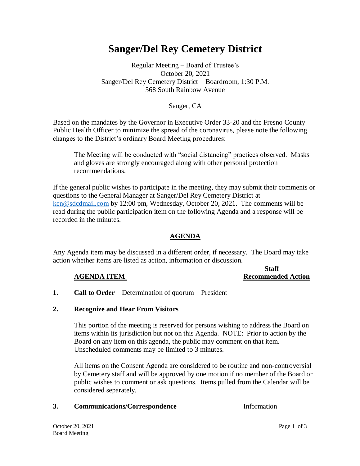# **Sanger/Del Rey Cemetery District**

# Regular Meeting – Board of Trustee's October 20, 2021 Sanger/Del Rey Cemetery District – Boardroom, 1:30 P.M. 568 South Rainbow Avenue

### Sanger, CA

Based on the mandates by the Governor in Executive Order 33-20 and the Fresno County Public Health Officer to minimize the spread of the coronavirus, please note the following changes to the District's ordinary Board Meeting procedures:

The Meeting will be conducted with "social distancing" practices observed. Masks and gloves are strongly encouraged along with other personal protection recommendations.

If the general public wishes to participate in the meeting, they may submit their comments or questions to the General Manager at Sanger/Del Rey Cemetery District at [ken@sdcdmail.com](mailto:ken@sdcdmail.com) by 12:00 pm, Wednesday, October 20, 2021. The comments will be read during the public participation item on the following Agenda and a response will be recorded in the minutes.

### **AGENDA**

Any Agenda item may be discussed in a different order, if necessary. The Board may take action whether items are listed as action, information or discussion.

#### **Staff AGENDA ITEM** Recommended Action

**1. Call to Order** – Determination of quorum – President

### **2. Recognize and Hear From Visitors**

This portion of the meeting is reserved for persons wishing to address the Board on items within its jurisdiction but not on this Agenda. NOTE: Prior to action by the Board on any item on this agenda, the public may comment on that item. Unscheduled comments may be limited to 3 minutes.

All items on the Consent Agenda are considered to be routine and non-controversial by Cemetery staff and will be approved by one motion if no member of the Board or public wishes to comment or ask questions. Items pulled from the Calendar will be considered separately.

### **3. Communications/Correspondence** Information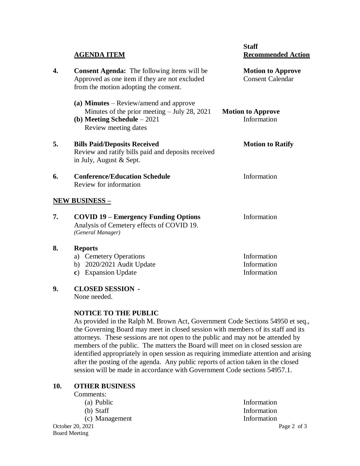|    | <b>AGENDA ITEM</b>                                                                                                                                 | <b>Staff</b><br><b>Recommended Action</b>           |
|----|----------------------------------------------------------------------------------------------------------------------------------------------------|-----------------------------------------------------|
| 4. | <b>Consent Agenda:</b> The following items will be<br>Approved as one item if they are not excluded<br>from the motion adopting the consent.       | <b>Motion to Approve</b><br><b>Consent Calendar</b> |
|    | (a) Minutes $-$ Review/amend and approve<br>Minutes of the prior meeting $-$ July 28, 2021<br>(b) Meeting Schedule $-2021$<br>Review meeting dates | <b>Motion to Approve</b><br>Information             |
| 5. | <b>Bills Paid/Deposits Received</b><br>Review and ratify bills paid and deposits received<br>in July, August & Sept.                               | <b>Motion to Ratify</b>                             |
| 6. | <b>Conference/Education Schedule</b><br>Review for information                                                                                     | Information                                         |
|    | <u>NEW BUSINESS – </u>                                                                                                                             |                                                     |
| 7. | <b>COVID 19 – Emergency Funding Options</b><br>Analysis of Cemetery effects of COVID 19.<br>(General Manager)                                      | Information                                         |
| 8. | <b>Reports</b>                                                                                                                                     |                                                     |
|    | a) Cemetery Operations                                                                                                                             | Information                                         |
|    | 2020/2021 Audit Update<br>b)                                                                                                                       | Information                                         |
|    | <b>Expansion Update</b><br>c)                                                                                                                      | Information                                         |

**9. CLOSED SESSION -**

None needed.

# **NOTICE TO THE PUBLIC**

As provided in the Ralph M. Brown Act, Government Code Sections 54950 et seq., the Governing Board may meet in closed session with members of its staff and its attorneys. These sessions are not open to the public and may not be attended by members of the public. The matters the Board will meet on in closed session are identified appropriately in open session as requiring immediate attention and arising after the posting of the agenda. Any public reports of action taken in the closed session will be made in accordance with Government Code sections 54957.1.

# **10. OTHER BUSINESS**

| Comments:        |             |
|------------------|-------------|
| (a) Public       | Information |
| $(b)$ Staff      | Information |
| (c) Management   | Information |
| October 20, 2021 | Page 2 of 3 |
| Board Meeting    |             |